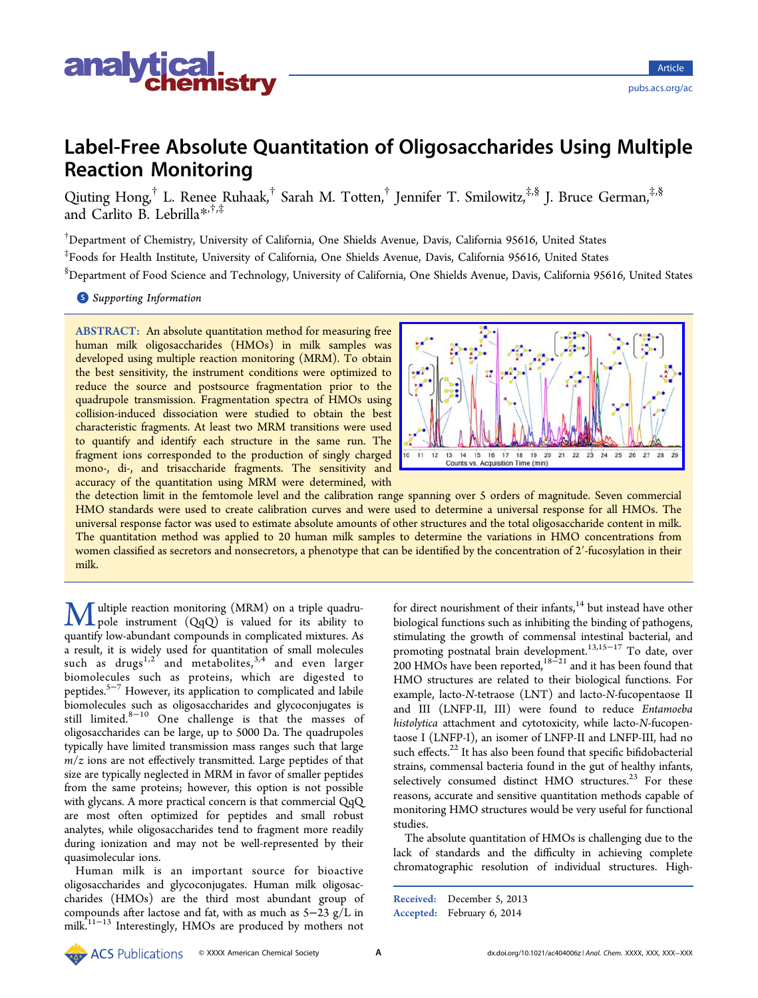

# Label-Free Absolute Quantitation of Oligosaccharides Using Multiple Reaction Monitoring

Qiuting Hong,<sup>†</sup> L. Renee Ruhaak,<sup>†</sup> Sarah M. Totten,<sup>†</sup> Jennifer T. Smilowitz,<sup>‡,§</sup> J. Bruce German,<sup>‡,§</sup> and Carlito B. Lebrilla[\\*](#page-7-0),†,‡

† Department of Chemistry, University of California, One Shields Avenue, Davis, California 95616, United States ‡ Foods for Health Institute, University of California, One Shields Avenue, Davis, California 95616, United States

§ Department of Food Science and Technology, University of California, One Shields Avenue, Davis, California 95616, United States

**S** [Supporting Information](#page-6-0)

ABSTRACT: An absolute quantitation method for measuring free human milk oligosaccharides (HMOs) in milk samples was developed using multiple reaction monitoring (MRM). To obtain the best sensitivity, the instrument conditions were optimized to reduce the source and postsource fragmentation prior to the quadrupole transmission. Fragmentation spectra of HMOs using collision-induced dissociation were studied to obtain the best characteristic fragments. At least two MRM transitions were used to quantify and identify each structure in the same run. The fragment ions corresponded to the production of singly charged mono-, di-, and trisaccharide fragments. The sensitivity and accuracy of the quantitation using MRM were determined, with



Article pubs.acs.org/ac

the detection limit in the femtomole level and the calibration range spanning over 5 orders of magnitude. Seven commercial HMO standards were used to create calibration curves and were used to determine a universal response for all HMOs. The universal response factor was used to estimate absolute amounts of other structures and the total oligosaccharide content in milk. The quantitation method was applied to 20 human milk samples to determine the variations in HMO concentrations from women classified as secretors and nonsecretors, a phenotype that can be identified by the concentration of 2'-fucosylation in their milk.

**M** ultiple reaction monitoring (MRM) on a triple quadru-<br>pole instrument (QqQ) is valued for its ability to<br>quantify low abundant compounds in complicated mixtures. quantify low-abundant compounds in complicated mixtures. As a result, it is widely used for quantitation of small molecules such as drugs<sup>1,2</sup> and metabolites,<sup>3,4</sup> and even larger biomolecules s[uch](#page-7-0) as proteins, w[hich](#page-7-0) are digested to peptides.5−<sup>7</sup> However, its application to complicated and labile biomole[cu](#page-7-0)l[e](#page-7-0)s such as oligosaccharides and glycoconjugates is still limited.8−<sup>10</sup> One challenge is that the masses of oligosacchari[des](#page-7-0) [c](#page-7-0)an be large, up to 5000 Da. The quadrupoles typically have limited transmission mass ranges such that large  $m/z$  ions are not effectively transmitted. Large peptides of that size are typically neglected in MRM in favor of smaller peptides from the same proteins; however, this option is not possible with glycans. A more practical concern is that commercial QqQ are most often optimized for peptides and small robust analytes, while oligosaccharides tend to fragment more readily during ionization and may not be well-represented by their quasimolecular ions.

Human milk is an important source for bioactive oligosaccharides and glycoconjugates. Human milk oligosaccharides (HMOs) are the third most abundant group of compounds after lactose and fat, with as much as 5−23 g/L in milk.<sup>[11](#page-7-0)−[13](#page-7-0)</sup> Interestingly, HMOs are produced by mothers not

for direct nourishment of their infants, $14$  but instead have other biological functions such as inhibiting [the](#page-7-0) binding of pathogens, stimulating the growth of commensal intestinal bacterial, and promoting postnatal brain development.<sup>13,15−17</sup> To date, over 200 HMOs have [b](#page-7-0)een reported,<sup>18 $-21$ </sup> and [it](#page-7-0) [has](#page-7-0) been found that HMO structures are related t[o](#page-7-0) [their](#page-7-0) biological functions. For example, lacto-N-tetraose (LNT) and lacto-N-fucopentaose II and III (LNFP-II, III) were found to reduce Entamoeba histolytica attachment and cytotoxicity, while lacto-N-fucopentaose I (LNFP-I), an isomer of LNFP-II and LNFP-III, had no such effects.<sup>22</sup> It has also been found that specific bifidobacterial strains, co[mm](#page-7-0)ensal bacteria found in the gut of healthy infants, selectively consumed distinct HMO structures.<sup>23</sup> For these reasons, accurate and sensitive quantitation meth[od](#page-7-0)s capable of monitoring HMO structures would be very useful for functional studies.

The absolute quantitation of HMOs is challenging due to the lack of standards and the difficulty in achieving complete chromatographic resolution of individual structures. High-

Received: December 5, 2013 Accepted: February 6, 2014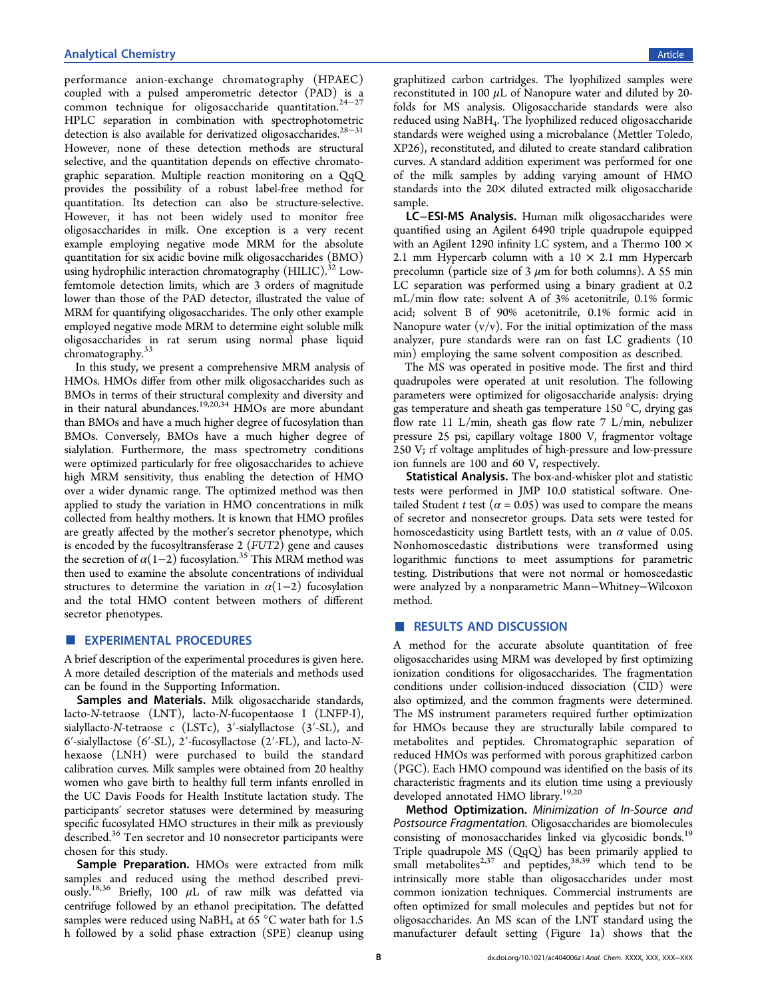performance anion-exchange chromatography (HPAEC) coupled with a pulsed amperometric detector (PAD) is a common technique for oligosaccharide quantitation.24−<sup>27</sup> HPLC separation in combination with spectrophoto[me](#page-7-0)t[ric](#page-7-0) detection is also available for derivatized oligosaccharides.<sup>28-31</sup> However, none of these detection methods are stru[ctural](#page-7-0) selective, and the quantitation depends on effective chromatographic separation. Multiple reaction monitoring on a QqQ provides the possibility of a robust label-free method for quantitation. Its detection can also be structure-selective. However, it has not been widely used to monitor free oligosaccharides in milk. One exception is a very recent example employing negative mode MRM for the absolute quantitation for six acidic bovine milk oligosaccharides (BMO) using hydrophilic interaction chromatography  $(HILIC).$ <sup>32</sup> Lowfemtomole detection limits, which are 3 orders of m[agn](#page-7-0)itude lower than those of the PAD detector, illustrated the value of MRM for quantifying oligosaccharides. The only other example employed negative mode MRM to determine eight soluble milk oligosaccharides in rat serum using normal phase liquid chromatography.<sup>33</sup>

In this study, [we](#page-7-0) present a comprehensive MRM analysis of HMOs. HMOs differ from other milk oligosaccharides such as BMOs in terms of their structural complexity and diversity and in their natural abundances.<sup>19,20,34</sup> HMOs are more abundant than BMOs and have a muc[h](#page-7-0) [highe](#page-7-0)r degree of fucosylation than BMOs. Conversely, BMOs have a much higher degree of sialylation. Furthermore, the mass spectrometry conditions were optimized particularly for free oligosaccharides to achieve high MRM sensitivity, thus enabling the detection of HMO over a wider dynamic range. The optimized method was then applied to study the variation in HMO concentrations in milk collected from healthy mothers. It is known that HMO profiles are greatly affected by the mother's secretor phenotype, which is encoded by the fucosyltransferase 2 (FUT2) gene and causes the secretion of  $\alpha(1-2)$  fucosylation.<sup>35</sup> This MRM method was then used to examine the absolute c[on](#page-7-0)centrations of individual structures to determine the variation in  $\alpha(1-2)$  fucosylation and the total HMO content between mothers of different secretor phenotypes.

# **EXPERIMENTAL PROCEDURES**

A brief description of the experimental procedures is given here. A more detailed description of the materials and methods used can be found in the Supporting Information.

Samples and Materials. [Milk oligosacc](#page-6-0)haride standards, lacto-N-tetraose (LNT), lacto-N-fucopentaose I (LNFP-I), sialyllacto-N-tetraose c (LSTc), 3′-sialyllactose (3′-SL), and 6′-sialyllactose (6′-SL), 2′-fucosyllactose (2′-FL), and lacto-Nhexaose (LNH) were purchased to build the standard calibration curves. Milk samples were obtained from 20 healthy women who gave birth to healthy full term infants enrolled in the UC Davis Foods for Health Institute lactation study. The participants' secretor statuses were determined by measuring specific fucosylated HMO structures in their milk as previously described.<sup>36</sup> Ten secretor and 10 nonsecretor participants were chosen fo[r](#page-7-0) [t](#page-7-0)his study.

Sample Preparation. HMOs were extracted from milk samples and reduced using the method described previously.<sup>18,36</sup> Briefly, 100  $\mu L$  of raw milk was defatted via centr[ifuge](#page-7-0) followed by an ethanol precipitation. The defatted samples were reduced using NaBH<sub>4</sub> at 65  $^{\circ}$ C water bath for 1.5 h followed by a solid phase extraction (SPE) cleanup using graphitized carbon cartridges. The lyophilized samples were reconstituted in 100  $\mu$ L of Nanopure water and diluted by 20folds for MS analysis. Oligosaccharide standards were also reduced using NaBH4. The lyophilized reduced oligosaccharide standards were weighed using a microbalance (Mettler Toledo, XP26), reconstituted, and diluted to create standard calibration curves. A standard addition experiment was performed for one of the milk samples by adding varying amount of HMO standards into the 20× diluted extracted milk oligosaccharide sample.

LC−ESI-MS Analysis. Human milk oligosaccharides were quantified using an Agilent 6490 triple quadrupole equipped with an Agilent 1290 infinity LC system, and a Thermo 100 × 2.1 mm Hypercarb column with a  $10 \times 2.1$  mm Hypercarb precolumn (particle size of 3  $\mu$ m for both columns). A 55 min LC separation was performed using a binary gradient at 0.2 mL/min flow rate: solvent A of 3% acetonitrile, 0.1% formic acid; solvent B of 90% acetonitrile, 0.1% formic acid in Nanopure water  $(v/v)$ . For the initial optimization of the mass analyzer, pure standards were ran on fast LC gradients (10 min) employing the same solvent composition as described.

The MS was operated in positive mode. The first and third quadrupoles were operated at unit resolution. The following parameters were optimized for oligosaccharide analysis: drying gas temperature and sheath gas temperature 150 °C, drying gas flow rate 11 L/min, sheath gas flow rate 7 L/min, nebulizer pressure 25 psi, capillary voltage 1800 V, fragmentor voltage 250 V; rf voltage amplitudes of high-pressure and low-pressure ion funnels are 100 and 60 V, respectively.

Statistical Analysis. The box-and-whisker plot and statistic tests were performed in JMP 10.0 statistical software. Onetailed Student t test  $(\alpha = 0.05)$  was used to compare the means of secretor and nonsecretor groups. Data sets were tested for homoscedasticity using Bartlett tests, with an  $\alpha$  value of 0.05. Nonhomoscedastic distributions were transformed using logarithmic functions to meet assumptions for parametric testing. Distributions that were not normal or homoscedastic were analyzed by a nonparametric Mann−Whitney−Wilcoxon method.

# ■ RESULTS AND DISCUSSION

A method for the accurate absolute quantitation of free oligosaccharides using MRM was developed by first optimizing ionization conditions for oligosaccharides. The fragmentation conditions under collision-induced dissociation (CID) were also optimized, and the common fragments were determined. The MS instrument parameters required further optimization for HMOs because they are structurally labile compared to metabolites and peptides. Chromatographic separation of reduced HMOs was performed with porous graphitized carbon (PGC). Each HMO compound was identified on the basis of its characteristic fragments and its elution time using a previously developed annotated HMO library.<sup>19,20</sup>

Method Optimization. Mini[mizat](#page-7-0)ion of In-Source and Postsource Fragmentation. Oligosaccharides are biomolecules consisting of monosaccharides linked via glycosidic bonds.<sup>19</sup> Triple quadrupole MS (QqQ) has been primarily applied [to](#page-7-0) small metabolites<sup>2,37</sup> and peptides,  $38,39$  which tend to be intrinsically more [st](#page-7-0)able than olig[osacc](#page-7-0)harides under most common ionization techniques. Commercial instruments are often optimized for small molecules and peptides but not for oligosaccharides. An MS scan of the LNT standard using the manufacturer default setting (Figure [1](#page-2-0)a) shows that the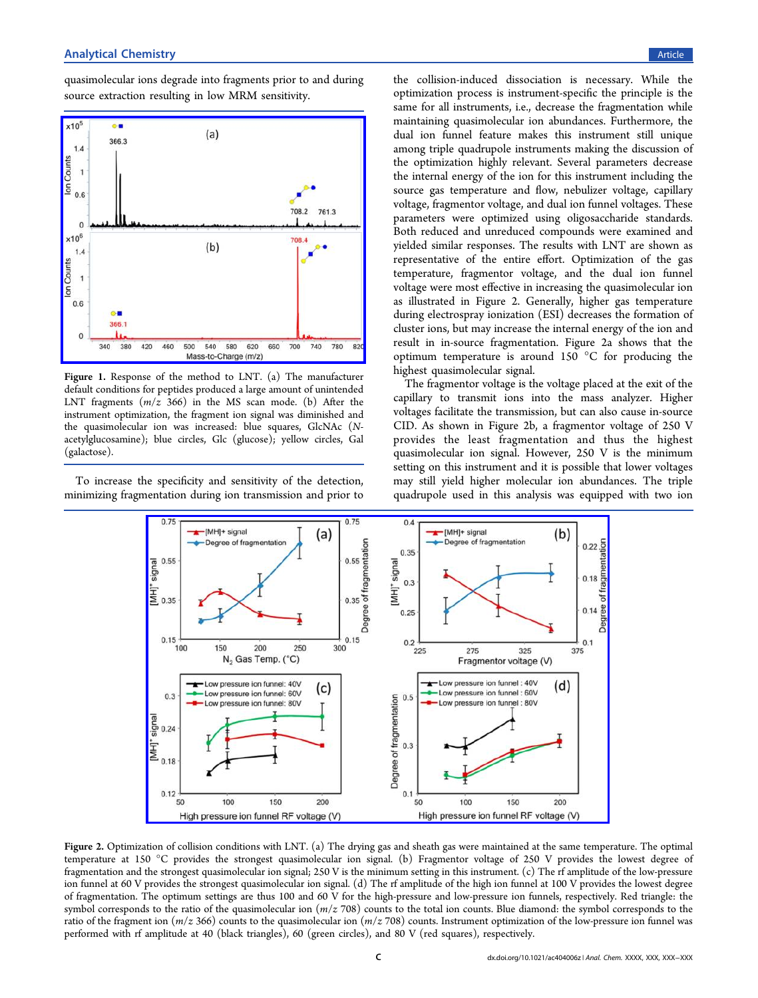<span id="page-2-0"></span>quasimolecular ions degrade into fragments prior to and during source extraction resulting in low MRM sensitivity.



Figure 1. Response of the method to LNT. (a) The manufacturer default conditions for peptides produced a large amount of unintended LNT fragments  $(m/z 366)$  in the MS scan mode. (b) After the instrument optimization, the fragment ion signal was diminished and the quasimolecular ion was increased: blue squares, GlcNAc (Nacetylglucosamine); blue circles, Glc (glucose); yellow circles, Gal (galactose).

To increase the specificity and sensitivity of the detection, minimizing fragmentation during ion transmission and prior to

the collision-induced dissociation is necessary. While the optimization process is instrument-specific the principle is the same for all instruments, i.e., decrease the fragmentation while maintaining quasimolecular ion abundances. Furthermore, the dual ion funnel feature makes this instrument still unique among triple quadrupole instruments making the discussion of the optimization highly relevant. Several parameters decrease the internal energy of the ion for this instrument including the source gas temperature and flow, nebulizer voltage, capillary voltage, fragmentor voltage, and dual ion funnel voltages. These parameters were optimized using oligosaccharide standards. Both reduced and unreduced compounds were examined and yielded similar responses. The results with LNT are shown as representative of the entire effort. Optimization of the gas temperature, fragmentor voltage, and the dual ion funnel voltage were most effective in increasing the quasimolecular ion as illustrated in Figure 2. Generally, higher gas temperature during electrospray ionization (ESI) decreases the formation of cluster ions, but may increase the internal energy of the ion and result in in-source fragmentation. Figure 2a shows that the optimum temperature is around 150 °C for producing the highest quasimolecular signal.

The fragmentor voltage is the voltage placed at the exit of the capillary to transmit ions into the mass analyzer. Higher voltages facilitate the transmission, but can also cause in-source CID. As shown in Figure 2b, a fragmentor voltage of 250 V provides the least fragmentation and thus the highest quasimolecular ion signal. However, 250 V is the minimum setting on this instrument and it is possible that lower voltages may still yield higher molecular ion abundances. The triple quadrupole used in this analysis was equipped with two ion



Figure 2. Optimization of collision conditions with LNT. (a) The drying gas and sheath gas were maintained at the same temperature. The optimal temperature at 150 °C provides the strongest quasimolecular ion signal. (b) Fragmentor voltage of 250 V provides the lowest degree of fragmentation and the strongest quasimolecular ion signal; 250 V is the minimum setting in this instrument. (c) The rf amplitude of the low-pressure ion funnel at 60 V provides the strongest quasimolecular ion signal. (d) The rf amplitude of the high ion funnel at 100 V provides the lowest degree of fragmentation. The optimum settings are thus 100 and 60 V for the high-pressure and low-pressure ion funnels, respectively. Red triangle: the symbol corresponds to the ratio of the quasimolecular ion  $(m/z 708)$  counts to the total ion counts. Blue diamond: the symbol corresponds to the ratio of the fragment ion ( $m/z$  366) counts to the quasimolecular ion ( $m/z$  708) counts. Instrument optimization of the low-pressure ion funnel was performed with rf amplitude at 40 (black triangles), 60 (green circles), and 80 V (red squares), respectively.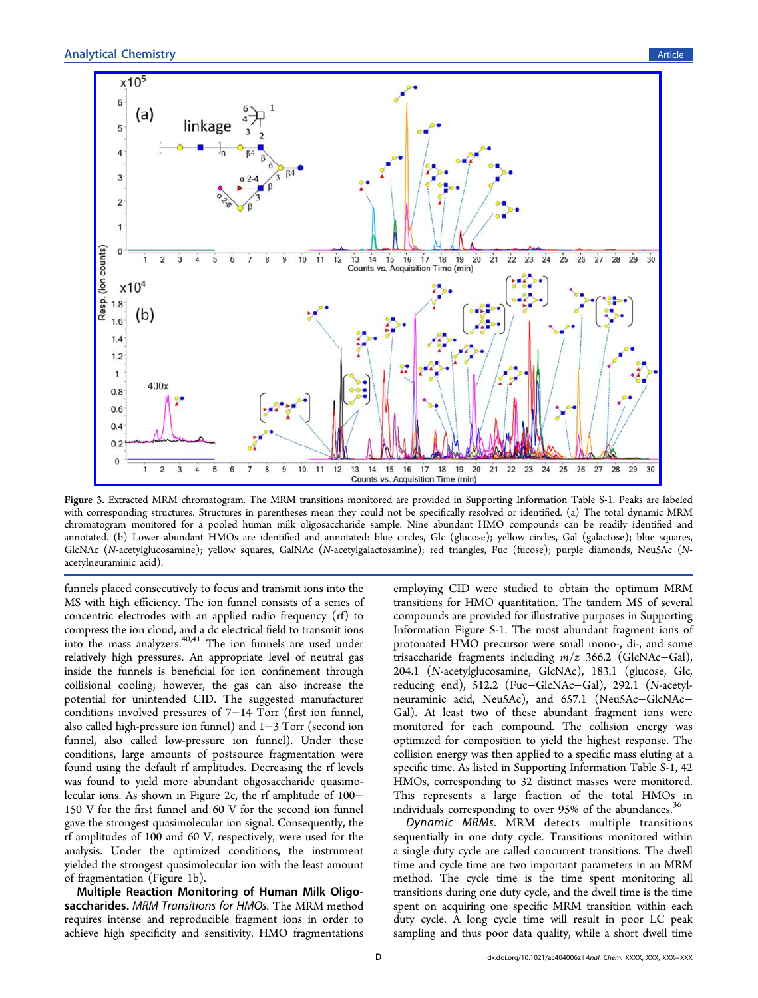<span id="page-3-0"></span>

Figure 3. Extracted MRM chromatogram. The MRM transitions monitored are provided in Supporting Information Table S-1. Peaks are labeled with corresponding structures. Structures in parentheses mean they could not be specifically [resolved or identi](#page-6-0)fied. (a) The total dynamic MRM chromatogram monitored for a pooled human milk oligosaccharide sample. Nine abundant HMO compounds can be readily identified and annotated. (b) Lower abundant HMOs are identified and annotated: blue circles, Glc (glucose); yellow circles, Gal (galactose); blue squares, GlcNAc (N-acetylglucosamine); yellow squares, GalNAc (N-acetylgalactosamine); red triangles, Fuc (fucose); purple diamonds, Neu5Ac (Nacetylneuraminic acid).

funnels placed consecutively to focus and transmit ions into the MS with high efficiency. The ion funnel consists of a series of concentric electrodes with an applied radio frequency (rf) to compress the ion cloud, and a dc electrical field to transmit ions into the mass analyzers.<sup>40,41</sup> The ion funnels are used under relatively high pressure[s.](#page-7-0) [An](#page-7-0) appropriate level of neutral gas inside the funnels is beneficial for ion confinement through collisional cooling; however, the gas can also increase the potential for unintended CID. The suggested manufacturer conditions involved pressures of 7−14 Torr (first ion funnel, also called high-pressure ion funnel) and 1−3 Torr (second ion funnel, also called low-pressure ion funnel). Under these conditions, large amounts of postsource fragmentation were found using the default rf amplitudes. Decreasing the rf levels was found to yield more abundant oligosaccharide quasimolecular ions. As shown in Figure 2c, the rf amplitude of 100− 150 V for the first funnel and 60 [V](#page-2-0) for the second ion funnel gave the strongest quasimolecular ion signal. Consequently, the rf amplitudes of 100 and 60 V, respectively, were used for the analysis. Under the optimized conditions, the instrument yielded the strongest quasimolecular ion with the least amount of fragmentation (Figure 1b).

Multiple Reaction [Mo](#page-2-0)nitoring of Human Milk Oligosaccharides. MRM Transitions for HMOs. The MRM method requires intense and reproducible fragment ions in order to achieve high specificity and sensitivity. HMO fragmentations

employing CID were studied to obtain the optimum MRM transitions for HMO quantitation. The tandem MS of several compounds are provided for illustrative purposes in Supporting Information Figure S-1. The most abundant fragm[ent ions of](#page-6-0) [protonated H](#page-6-0)MO precursor were small mono-, di-, and some trisaccharide fragments including m/z 366.2 (GlcNAc−Gal), 204.1 (N-acetylglucosamine, GlcNAc), 183.1 (glucose, Glc, reducing end), 512.2 (Fuc−GlcNAc−Gal), 292.1 (N-acetylneuraminic acid, Neu5Ac), and 657.1 (Neu5Ac−GlcNAc− Gal). At least two of these abundant fragment ions were monitored for each compound. The collision energy was optimized for composition to yield the highest response. The collision energy was then applied to a specific mass eluting at a specific time. As listed in Supporting Information Table S-1, 42 HMOs, corresponding t[o 32 distinct masses we](#page-6-0)re monitored. This represents a large fraction of the total HMOs in individuals corresponding to over 95% of the abundances.<sup>30</sup>

Dynamic MRMs. MRM detects multiple transit[ion](#page-7-0)s sequentially in one duty cycle. Transitions monitored within a single duty cycle are called concurrent transitions. The dwell time and cycle time are two important parameters in an MRM method. The cycle time is the time spent monitoring all transitions during one duty cycle, and the dwell time is the time spent on acquiring one specific MRM transition within each duty cycle. A long cycle time will result in poor LC peak sampling and thus poor data quality, while a short dwell time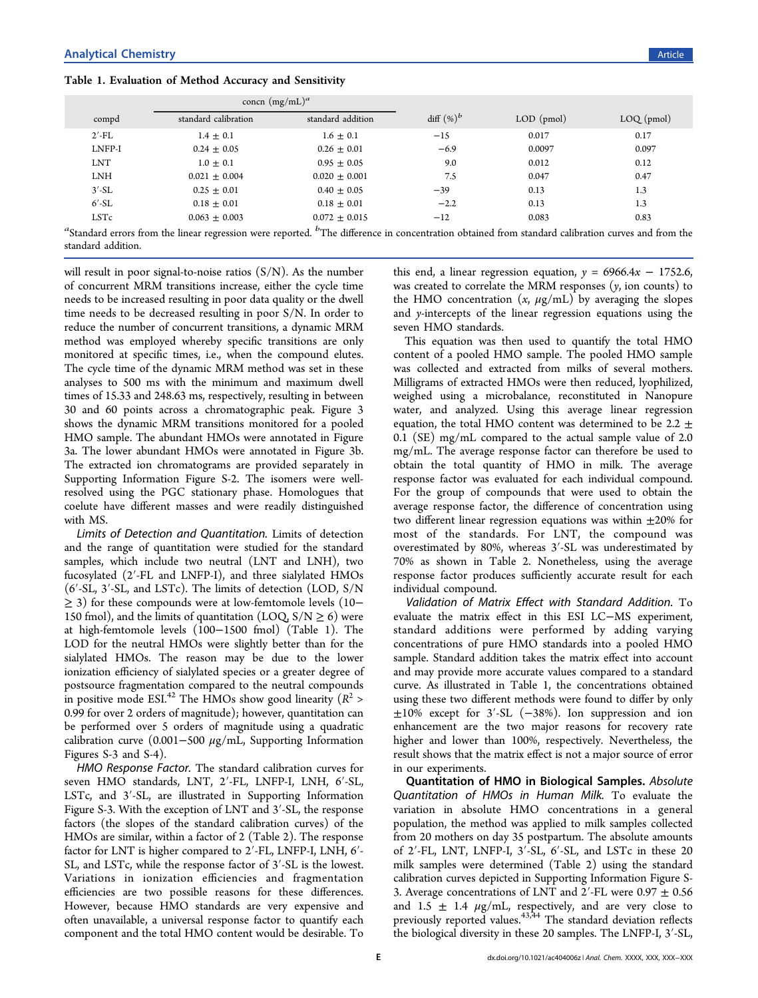Table 1. Evaluation of Method Accuracy and Sensitivity

|            | concn $(mg/mL)^a$    |                   |               |              |              |
|------------|----------------------|-------------------|---------------|--------------|--------------|
| compd      | standard calibration | standard addition | diff $(\%)^b$ | $LOD$ (pmol) | $LOQ$ (pmol) |
| $2'$ -FL   | $1.4 \pm 0.1$        | $1.6 \pm 0.1$     | $-15$         | 0.017        | 0.17         |
| LNFP-I     | $0.24 \pm 0.05$      | $0.26 \pm 0.01$   | $-6.9$        | 0.0097       | 0.097        |
| <b>LNT</b> | $1.0 \pm 0.1$        | $0.95 \pm 0.05$   | 9.0           | 0.012        | 0.12         |
| <b>LNH</b> | $0.021 \pm 0.004$    | $0.020 + 0.001$   | 7.5           | 0.047        | 0.47         |
| $3'$ -SL   | $0.25 \pm 0.01$      | $0.40 \pm 0.05$   | $-39$         | 0.13         | 1.3          |
| $6'$ -SL   | $0.18 \pm 0.01$      | $0.18 \pm 0.01$   | $-2.2$        | 0.13         | 1.3          |
| LSTc       | $0.063 \pm 0.003$    | $0.072 \pm 0.015$ | $-12$         | 0.083        | 0.83         |

 ${}^a$ Standard errors from the linear regression were reported.  ${}^b$ The difference in concentration obtained from standard calibration curves and from the standard addition.

will result in poor signal-to-noise ratios  $(S/N)$ . As the number of concurrent MRM transitions increase, either the cycle time needs to be increased resulting in poor data quality or the dwell time needs to be decreased resulting in poor S/N. In order to reduce the number of concurrent transitions, a dynamic MRM method was employed whereby specific transitions are only monitored at specific times, i.e., when the compound elutes. The cycle time of the dynamic MRM method was set in these analyses to 500 ms with the minimum and maximum dwell times of 15.33 and 248.63 ms, respectively, resulting in between 30 and 60 points across a chromatographic peak. Figure 3 shows the dynamic MRM transitions monitored for a poole[d](#page-3-0) HMO sample. The abundant HMOs were annotated in Figure 3a. The lower abundant HMOs were annotated in Figure 3b. [T](#page-3-0)he extracted ion chromatograms are provided separately [i](#page-3-0)n Supporting Information Figure S-2. The isomers were well[resolved using the PGC](#page-6-0) stationary phase. Homologues that coelute have different masses and were readily distinguished with MS.

Limits of Detection and Quantitation. Limits of detection and the range of quantitation were studied for the standard samples, which include two neutral (LNT and LNH), two fucosylated (2′-FL and LNFP-I), and three sialylated HMOs (6′-SL, 3′-SL, and LSTc). The limits of detection (LOD, S/N ≥ 3) for these compounds were at low-femtomole levels (10− 150 fmol), and the limits of quantitation (LOQ,  $S/N \ge 6$ ) were at high-femtomole levels (100−1500 fmol) (Table 1). The LOD for the neutral HMOs were slightly better than for the sialylated HMOs. The reason may be due to the lower ionization efficiency of sialylated species or a greater degree of postsource fragmentation compared to the neutral compounds in positive mode ESI.<sup>42</sup> The HMOs show good linearity ( $R^2$  > 0.99 for over 2 orders [of](#page-7-0) magnitude); however, quantitation can be performed over 5 orders of magnitude using a quadratic calibration curve  $(0.001-500 \mu g/mL)$ , [Supporting](#page-6-0) [Information](#page-6-0) Figures S-3 and S-4).

HMO Response Factor. The standard calibration curves for seven HMO standards, LNT, 2′-FL, LNFP-I, LNH, 6′-SL, LSTc, and 3′-SL, are illustrated in Supporting Information Figure S-3. With the exception of LNT and 3′[-SL, the response](#page-6-0) factors (the slopes of the standard calibration curves) of the HMOs are similar, within a factor of 2 (Table 2). The response factor for LNT is higher compared to 2′-FL, [LN](#page-5-0)FP-I, LNH, 6′- SL, and LSTc, while the response factor of 3′-SL is the lowest. Variations in ionization efficiencies and fragmentation efficiencies are two possible reasons for these differences. However, because HMO standards are very expensive and often unavailable, a universal response factor to quantify each component and the total HMO content would be desirable. To

this end, a linear regression equation,  $y = 6966.4x - 1752.6$ , was created to correlate the MRM responses  $(y, \text{ion counts})$  to the HMO concentration  $(x, \mu g/mL)$  by averaging the slopes and y-intercepts of the linear regression equations using the seven HMO standards.

This equation was then used to quantify the total HMO content of a pooled HMO sample. The pooled HMO sample was collected and extracted from milks of several mothers. Milligrams of extracted HMOs were then reduced, lyophilized, weighed using a microbalance, reconstituted in Nanopure water, and analyzed. Using this average linear regression equation, the total HMO content was determined to be 2.2  $\pm$ 0.1 (SE) mg/mL compared to the actual sample value of 2.0 mg/mL. The average response factor can therefore be used to obtain the total quantity of HMO in milk. The average response factor was evaluated for each individual compound. For the group of compounds that were used to obtain the average response factor, the difference of concentration using two different linear regression equations was within  $\pm 20\%$  for most of the standards. For LNT, the compound was overestimated by 80%, whereas 3′-SL was underestimated by 70% as shown in Table 2. Nonetheless, using the average response factor produces [su](#page-5-0)fficiently accurate result for each individual compound.

Validation of Matrix Effect with Standard Addition. To evaluate the matrix effect in this ESI LC−MS experiment, standard additions were performed by adding varying concentrations of pure HMO standards into a pooled HMO sample. Standard addition takes the matrix effect into account and may provide more accurate values compared to a standard curve. As illustrated in Table 1, the concentrations obtained using these two different methods were found to differ by only  $±10\%$  except for 3'-SL (-38%). Ion suppression and ion enhancement are the two major reasons for recovery rate higher and lower than 100%, respectively. Nevertheless, the result shows that the matrix effect is not a major source of error in our experiments.

Quantitation of HMO in Biological Samples. Absolute Quantitation of HMOs in Human Milk. To evaluate the variation in absolute HMO concentrations in a general population, the method was applied to milk samples collected from 20 mothers on day 35 postpartum. The absolute amounts of 2′-FL, LNT, LNFP-I, 3′-SL, 6′-SL, and LSTc in these 20 milk samples were determined (Table 2) using the standard calibration curves depicted in Supportin[g I](#page-5-0)nformation Figure S-3. Average concentrations of LNT and  $2'$ [-FL were 0.9](#page-6-0)7  $\pm$  0.56 and 1.5  $\pm$  1.4  $\mu$ g/mL, respectively, and are very close to previously reported values.<sup> $43,44$ </sup> The standard deviation reflects the biological diversity in t[hese](#page-7-0) 20 samples. The LNFP-I, 3′-SL,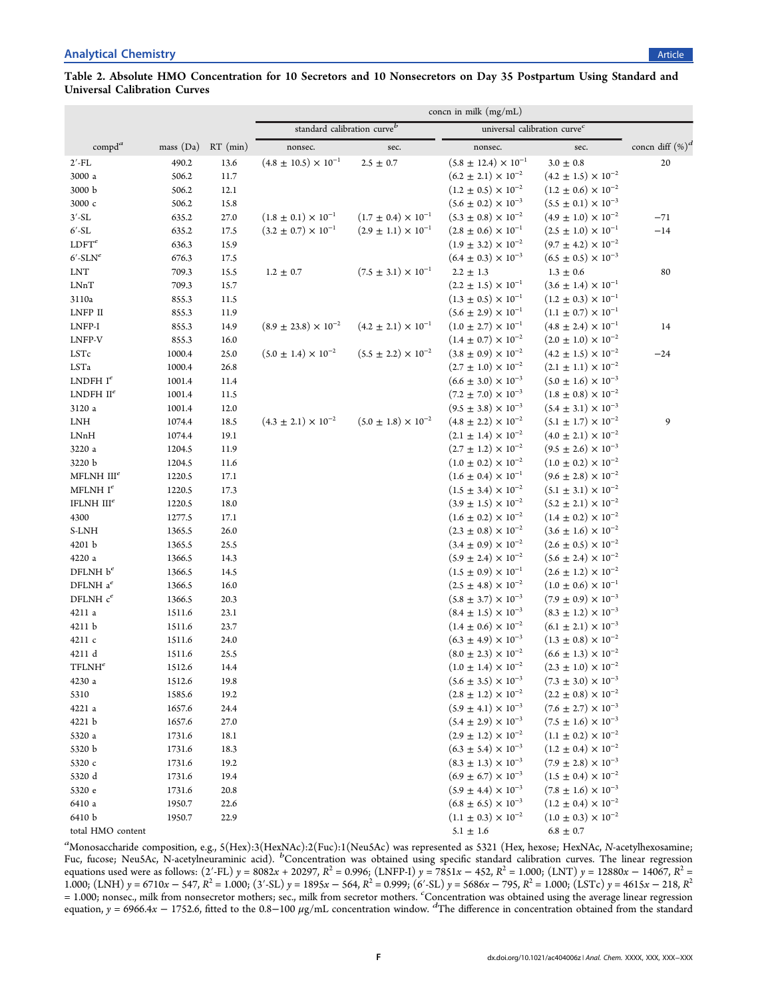## <span id="page-5-0"></span>Table 2. Absolute HMO Concentration for 10 Secretors and 10 Nonsecretors on Day 35 Postpartum Using Standard and Universal Calibration Curves

|                          |           |            | concn in milk $(mg/mL)$                 |                                |                                          |                                    |                     |  |  |
|--------------------------|-----------|------------|-----------------------------------------|--------------------------------|------------------------------------------|------------------------------------|---------------------|--|--|
|                          |           |            | standard calibration curve <sup>b</sup> |                                | universal calibration curve <sup>c</sup> |                                    |                     |  |  |
| $\text{compd}^a$         | mass (Da) | $RT$ (min) | nonsec.                                 | sec.                           | nonsec.                                  | sec.                               | concn diff $(\%)^d$ |  |  |
| $2'$ -FL                 | 490.2     | 13.6       | $(4.8 \pm 10.5) \times 10^{-1}$         | $2.5 \pm 0.7$                  | $(5.8 \pm 12.4) \times 10^{-1}$          | $3.0\,\pm\,0.8$                    | 20                  |  |  |
| 3000 a                   | 506.2     | 11.7       |                                         |                                | $(6.2 \pm 2.1) \times 10^{-2}$           | $(4.2 \pm 1.5) \times 10^{-2}$     |                     |  |  |
| 3000 b                   | 506.2     | 12.1       |                                         |                                | $(1.2 \pm 0.5) \times 10^{-2}$           | $(1.2 \pm 0.6) \times 10^{-2}$     |                     |  |  |
| 3000 с                   | 506.2     | 15.8       |                                         |                                | $(5.6 \pm 0.2) \times 10^{-3}$           | $(5.5 \pm 0.1) \times 10^{-3}$     |                     |  |  |
| $3'$ -SL                 | 635.2     | 27.0       | $(1.8 \pm 0.1) \times 10^{-1}$          | $(1.7 \pm 0.4) \times 10^{-1}$ | $(5.3 \pm 0.8) \times 10^{-2}$           | $(4.9 \pm 1.0) \times 10^{-2}$     | $-71$               |  |  |
| $6'$ -SL                 | 635.2     | 17.5       | $(3.2 \pm 0.7) \times 10^{-1}$          | $(2.9 \pm 1.1) \times 10^{-1}$ | $(2.8 \pm 0.6) \times 10^{-1}$           | $(2.5 \pm 1.0) \times 10^{-1}$     | $-14$               |  |  |
| LDFT <sup>e</sup>        | 636.3     | 15.9       |                                         |                                | $(1.9 \pm 3.2) \times 10^{-2}$           | $(9.7 \pm 4.2) \times 10^{-2}$     |                     |  |  |
| $6'$ -SLN <sup>e</sup>   | 676.3     | 17.5       |                                         |                                | $(6.4 \pm 0.3) \times 10^{-3}$           | $(6.5 \pm 0.5) \times 10^{-3}$     |                     |  |  |
| <b>LNT</b>               | 709.3     | 15.5       | $1.2 \pm 0.7$                           | $(7.5 \pm 3.1) \times 10^{-1}$ | $2.2 \pm 1.3$                            | $1.3 \pm 0.6$                      | 80                  |  |  |
| <b>LNnT</b>              | 709.3     | 15.7       |                                         |                                | $(2.2 \pm 1.5) \times 10^{-1}$           | $(3.6 \pm 1.4) \times 10^{-1}$     |                     |  |  |
| 3110a                    | 855.3     | 11.5       |                                         |                                | $(1.3 \pm 0.5) \times 10^{-1}$           | $(1.2 \pm 0.3) \times 10^{-1}$     |                     |  |  |
| LNFP II                  | 855.3     | 11.9       |                                         |                                | $(5.6 \pm 2.9) \times 10^{-1}$           | $(1.1 \pm 0.7) \times 10^{-1}$     |                     |  |  |
| ${\rm LNFP\text{-}I}$    | 855.3     | 14.9       | $(8.9 \pm 23.8) \times 10^{-2}$         | $(4.2 \pm 2.1) \times 10^{-1}$ | $(1.0 \pm 2.7) \times 10^{-1}$           | $(4.8 \pm 2.4) \times 10^{-1}$     | 14                  |  |  |
| LNFP-V                   | 855.3     | 16.0       |                                         |                                | $(1.4 \pm 0.7) \times 10^{-2}$           | $(2.0 \pm 1.0) \times 10^{-2}$     |                     |  |  |
| LSTc                     | 1000.4    | 25.0       | $(5.0 \pm 1.4) \times 10^{-2}$          | $(5.5 \pm 2.2) \times 10^{-2}$ | $(3.8 \pm 0.9) \times 10^{-2}$           | $(4.2 \pm 1.5) \times 10^{-2}$     | $-24$               |  |  |
| LSTa                     | 1000.4    | 26.8       |                                         |                                | $(2.7 \pm 1.0) \times 10^{-2}$           | $(2.1 \pm 1.1) \times 10^{-2}$     |                     |  |  |
| LNDFH $I^e$              | 1001.4    | 11.4       |                                         |                                | $(6.6 \pm 3.0) \times 10^{-3}$           | $(5.0 \pm 1.6) \times 10^{-3}$     |                     |  |  |
| LNDFH $II^e$             | 1001.4    | 11.5       |                                         |                                | $(7.2 \pm 7.0) \times 10^{-3}$           | $(1.8 \pm 0.8) \times 10^{-2}$     |                     |  |  |
| 3120 a                   | 1001.4    | 12.0       |                                         |                                | $(9.5 \pm 3.8) \times 10^{-3}$           | $(5.4 \pm 3.1) \times 10^{-3}$     |                     |  |  |
| <b>LNH</b>               | 1074.4    | 18.5       | $(4.3 \pm 2.1) \times 10^{-2}$          | $(5.0 \pm 1.8) \times 10^{-2}$ | $(4.8 \pm 2.2) \times 10^{-2}$           | $(5.1\,\pm\,1.7)\times10^{-2}$     | 9                   |  |  |
| LNnH                     | 1074.4    | 19.1       |                                         |                                | $(2.1 \pm 1.4) \times 10^{-2}$           | $(4.0 \pm 2.1) \times 10^{-2}$     |                     |  |  |
| 3220 a                   | 1204.5    | 11.9       |                                         |                                | $(2.7 \pm 1.2) \times 10^{-2}$           | $(9.5 \pm 2.6) \times 10^{-3}$     |                     |  |  |
| 3220 b                   | 1204.5    | 11.6       |                                         |                                | $(1.0 \pm 0.2) \times 10^{-2}$           | $(1.0 \pm 0.2) \times 10^{-2}$     |                     |  |  |
| MFLNH $IIIe$             | 1220.5    | 17.1       |                                         |                                | $(1.6 \pm 0.4) \times 10^{-1}$           | $(9.6 \pm 2.8) \times 10^{-2}$     |                     |  |  |
| MFLNH $I^e$              | 1220.5    | 17.3       |                                         |                                | $(1.5 \pm 3.4) \times 10^{-2}$           | $(5.1 \pm 3.1) \times 10^{-2}$     |                     |  |  |
| IFLNH $IIIe$             | 1220.5    | 18.0       |                                         |                                | $(3.9 \pm 1.5) \times 10^{-2}$           | $(5.2 \pm 2.1) \times 10^{-2}$     |                     |  |  |
| 4300                     | 1277.5    | 17.1       |                                         |                                | $(1.6 \pm 0.2) \times 10^{-2}$           | $(1.4 \pm 0.2) \times 10^{-2}$     |                     |  |  |
| S-LNH                    | 1365.5    | 26.0       |                                         |                                | $(2.3 \pm 0.8) \times 10^{-2}$           | $(3.6 \pm 1.6) \times 10^{-2}$     |                     |  |  |
| 4201 b                   | 1365.5    | 25.5       |                                         |                                | $(3.4 \pm 0.9) \times 10^{-2}$           | $(2.6 \pm 0.5) \times 10^{-2}$     |                     |  |  |
| 4220 a                   | 1366.5    | 14.3       |                                         |                                | $(5.9 \pm 2.4) \times 10^{-2}$           | $(5.6 \pm 2.4) \times 10^{-2}$     |                     |  |  |
| DFLNH $b^e$              | 1366.5    | 14.5       |                                         |                                | $(1.5 \pm 0.9) \times 10^{-1}$           | $(2.6\,\pm\,1.2)\times 10^{-2}$    |                     |  |  |
| DFLNH $a^e$              | 1366.5    | 16.0       |                                         |                                | $(2.5 \pm 4.8) \times 10^{-2}$           | $(1.0\,\pm\,0.6)\times 10^{-1}$    |                     |  |  |
| DFLNH $c^e$              | 1366.5    | 20.3       |                                         |                                | $(5.8 \pm 3.7) \times 10^{-3}$           | $(7.9 \pm 0.9) \times 10^{-3}$     |                     |  |  |
| 4211 a                   | 1511.6    | 23.1       |                                         |                                | $(8.4 \pm 1.5) \times 10^{-3}$           | $(8.3 \pm 1.2) \times 10^{-3}$     |                     |  |  |
| 4211 b                   | 1511.6    | 23.7       |                                         |                                | $(1.4 \pm 0.6) \times 10^{-2}$           | $(6.1 \pm 2.1) \times 10^{-3}$     |                     |  |  |
| 4211 c                   | 1511.6    | 24.0       |                                         |                                | $(6.3 \pm 4.9) \times 10^{-3}$           | $(1.3 \pm 0.8) \times 10^{-2}$     |                     |  |  |
| 4211 d                   | 1511.6    | 25.5       |                                         |                                | $(8.0 \pm 2.3) \times 10^{-2}$           | $(6.6 \pm 1.3) \times 10^{-2}$     |                     |  |  |
| $\operatorname{TFLMH}^e$ | 1512.6    | 14.4       |                                         |                                | $(1.0 \pm 1.4) \times 10^{-2}$           | $(2.3 \pm 1.0) \times 10^{-2}$     |                     |  |  |
| 4230 a                   | 1512.6    | 19.8       |                                         |                                | $(5.6 \pm 3.5) \times 10^{-3}$           | $(7.3 \pm 3.0) \times 10^{-3}$     |                     |  |  |
| 5310                     | 1585.6    | 19.2       |                                         |                                | $(2.8 \pm 1.2) \times 10^{-2}$           | $(2.2 \pm 0.8) \times 10^{-2}$     |                     |  |  |
| 4221 a                   | 1657.6    | 24.4       |                                         |                                | $(5.9 \pm 4.1) \times 10^{-3}$           | $(7.6 \pm 2.7) \times 10^{-3}$     |                     |  |  |
| 4221 b                   | 1657.6    | 27.0       |                                         |                                | $(5.4 \pm 2.9) \times 10^{-3}$           | $(7.5 \pm 1.6) \times 10^{-3}$     |                     |  |  |
| 5320 a                   | 1731.6    | 18.1       |                                         |                                | $(2.9 \pm 1.2) \times 10^{-2}$           | $(1.1\,\pm\,0.2)\times 10^{-2}$    |                     |  |  |
| 5320 b                   | 1731.6    | 18.3       |                                         |                                | $(6.3 \pm 5.4) \times 10^{-3}$           | $(1.2\,\pm\,0.4)\,\times\,10^{-2}$ |                     |  |  |
| 5320 с                   | 1731.6    | 19.2       |                                         |                                | $(8.3 \pm 1.3) \times 10^{-3}$           | $(7.9 \pm 2.8) \times 10^{-3}$     |                     |  |  |
| 5320 d                   | 1731.6    | 19.4       |                                         |                                | $(6.9 \pm 6.7) \times 10^{-3}$           | $(1.5 \pm 0.4) \times 10^{-2}$     |                     |  |  |
| 5320 e                   | 1731.6    | 20.8       |                                         |                                | $(5.9 \pm 4.4) \times 10^{-3}$           | $(7.8 \pm 1.6) \times 10^{-3}$     |                     |  |  |
| 6410 a                   | 1950.7    | 22.6       |                                         |                                | $(6.8 \pm 6.5) \times 10^{-3}$           | $(1.2 \pm 0.4) \times 10^{-2}$     |                     |  |  |
| 6410 b                   | 1950.7    | 22.9       |                                         |                                | $(1.1 \pm 0.3) \times 10^{-2}$           | $(1.0\,\pm\,0.3)\times 10^{-2}$    |                     |  |  |
| total HMO content        |           |            |                                         |                                | $5.1\,\pm\,1.6$                          | $6.8\,\pm\,0.7$                    |                     |  |  |
|                          |           |            |                                         |                                |                                          |                                    |                     |  |  |

a<br>Monosaccharide composition, e.g., 5(Hex):3(HexNAc):2(Fuc):1(Neu5Ac) was represented as 5321 (Hex, hexose; HexNAc, N-acetylhexosamine; Fucholateriana compositor, e.g., externe transmitted and the represented as seen (free, matter). The art is the linear regression Fuc, fucose; NeuSAc, N-acetylneuraminic acid). <sup>b</sup>Concentration was obtained using specific equations used were as follows: (2′-FL) y = 8082x + 20297, R<sup>2</sup> = 0.996; (LNFP-I) y = 7851x − 452, R<sup>2</sup> = 1.000; (LNT) y = 12880x − 14067, R<sup>2</sup> = 1.000; (LNH)  $y = 6710x - 547$ ,  $R^2 = 1.000$ ; (3′-SL)  $y = 1895x - 564$ ,  $R^2 = 0.999$ ; (6′-SL)  $y = 5686x - 795$ ,  $R^2 = 1.000$ ; (LSTc)  $y = 4615x - 218$ ,  $R^2 = 1.000$ ; (LSTc)  $y = 4615x - 218$ ,  $R^2 = 1.000$ = 1.000; nonsec, milk from nonsecretor mothers; sec., milk from secretor mothers. Concentration was obtained using the average linear regression<br>equation,  $y = 6966.4x - 1752.6$ , fitted to the 0.8–100  $\mu$ g/mL concentration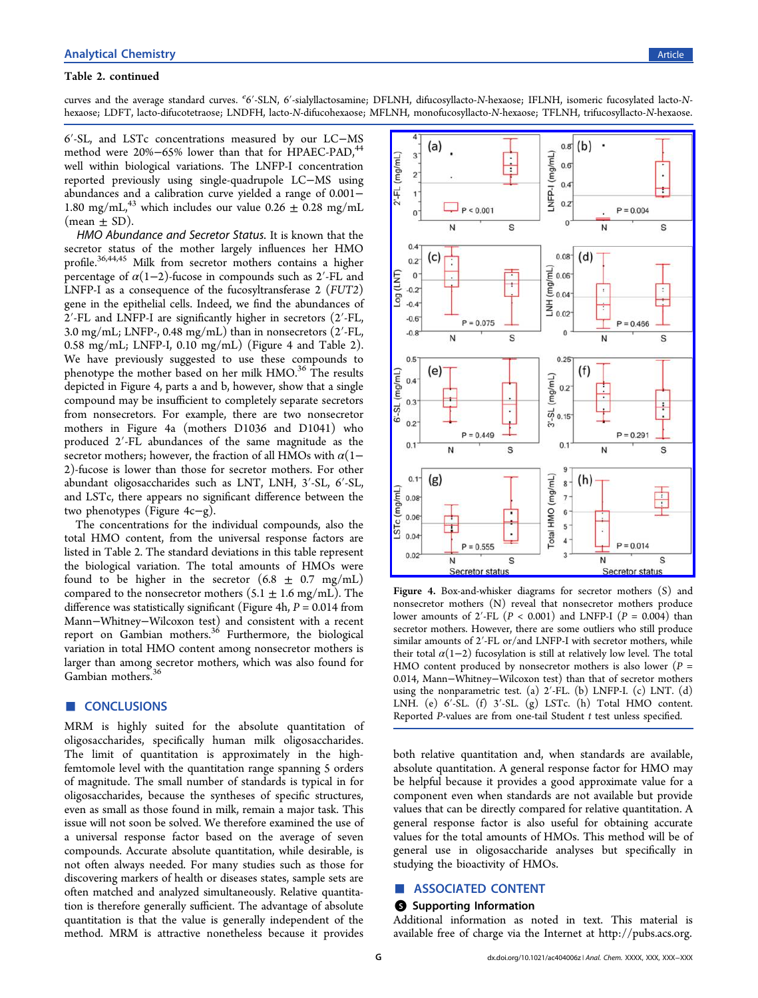#### <span id="page-6-0"></span>Table 2. continued

curves and the average standard curves. <sup>e</sup>6'-SLN, 6'-sialyllactosamine; DFLNH, difucosyllacto-N-hexaose; IFLNH, isomeric fucosylated lacto-Nhexaose; LDFT, lacto-difucotetraose; LNDFH, lacto-N-difucohexaose; MFLNH, monofucosyllacto-N-hexaose; TFLNH, trifucosyllacto-N-hexaose.

6′-SL, and LSTc concentrations measured by our LC−MS method were 20%–65% lower than that for HPAEC-PAD,<sup>44</sup> well within biological variations. The LNFP-I concentrati[on](#page-7-0) reported previously using single-quadrupole LC−MS using abundances and a calibration curve yielded a range of 0.001− 1.80 mg/mL,<sup>43</sup> which includes our value  $0.26 \pm 0.28$  mg/mL  $(mean \pm SD)$ .

HMO Abundance and Secretor Status. It is known that the secretor status of the mother largely influences her HMO profile.<sup>36,44,45</sup> Milk from secretor mothers contains a higher percen[tage](#page-7-0) [of](#page-7-0)  $\alpha(1-2)$ -fucose in compounds such as 2'-FL and LNFP-I as a consequence of the fucosyltransferase 2 (FUT2) gene in the epithelial cells. Indeed, we find the abundances of 2′-FL and LNFP-I are significantly higher in secretors (2′-FL, 3.0 mg/mL; LNFP-, 0.48 mg/mL) than in nonsecretors (2′-FL, 0.58 mg/mL; LNFP-I, 0.10 mg/mL) (Figure 4 and Table 2). We have previously suggested to use these compounds [t](#page-5-0)o phenotype the mother based on her milk HMO.<sup>36</sup> The results depicted in Figure 4, parts a and b, however, sho[w](#page-7-0) [t](#page-7-0)hat a single compound may be insufficient to completely separate secretors from nonsecretors. For example, there are two nonsecretor mothers in Figure 4a (mothers D1036 and D1041) who produced 2′-FL abundances of the same magnitude as the secretor mothers; however, the fraction of all HMOs with  $\alpha$ (1− 2)-fucose is lower than those for secretor mothers. For other abundant oligosaccharides such as LNT, LNH, 3′-SL, 6′-SL, and LSTc, there appears no significant difference between the two phenotypes (Figure 4c−g).

The concentrations for the individual compounds, also the total HMO content, from the universal response factors are listed in Table 2. The standard deviations in this table represent the biological [v](#page-5-0)ariation. The total amounts of HMOs were found to be higher in the secretor  $(6.8 \pm 0.7 \text{ mg/mL})$ compared to the nonsecretor mothers  $(5.1 \pm 1.6 \text{ mg/mL})$ . The difference was statistically significant (Figure 4h,  $P = 0.014$  from Mann−Whitney−Wilcoxon test) and consistent with a recent report on Gambian mothers.<sup>36</sup> Furthermore, the biological variation in total HMO conte[nt](#page-7-0) [a](#page-7-0)mong nonsecretor mothers is larger than among secretor mothers, which was also found for Gambian mothers.<sup>3</sup>

# ■ **CONCLUSIONS**

MRM is highly suited for the absolute quantitation of oligosaccharides, specifically human milk oligosaccharides. The limit of quantitation is approximately in the highfemtomole level with the quantitation range spanning 5 orders of magnitude. The small number of standards is typical in for oligosaccharides, because the syntheses of specific structures, even as small as those found in milk, remain a major task. This issue will not soon be solved. We therefore examined the use of a universal response factor based on the average of seven compounds. Accurate absolute quantitation, while desirable, is not often always needed. For many studies such as those for discovering markers of health or diseases states, sample sets are often matched and analyzed simultaneously. Relative quantitation is therefore generally sufficient. The advantage of absolute quantitation is that the value is generally independent of the method. MRM is attractive nonetheless because it provides



Figure 4. Box-and-whisker diagrams for secretor mothers (S) and nonsecretor mothers (N) reveal that nonsecretor mothers produce lower amounts of 2'-FL  $(P < 0.001)$  and LNFP-I  $(P = 0.004)$  than secretor mothers. However, there are some outliers who still produce similar amounts of 2′-FL or/and LNFP-I with secretor mothers, while their total  $\alpha(1-2)$  fucosylation is still at relatively low level. The total HMO content produced by nonsecretor mothers is also lower ( $P =$ 0.014, Mann−Whitney−Wilcoxon test) than that of secretor mothers using the nonparametric test. (a)  $2'$ -FL. (b) LNFP-I. (c) LNT. (d) LNH. (e) 6'-SL. (f) 3'-SL. (g) LSTc. (h) Total HMO content. Reported P-values are from one-tail Student  $t$  test unless specified.

both relative quantitation and, when standards are available, absolute quantitation. A general response factor for HMO may be helpful because it provides a good approximate value for a component even when standards are not available but provide values that can be directly compared for relative quantitation. A general response factor is also useful for obtaining accurate values for the total amounts of HMOs. This method will be of general use in oligosaccharide analyses but specifically in studying the bioactivity of HMOs.

## ■ ASSOCIATED CONTENT

#### **6** Supporting Information

Additional information as noted in text. This material is available free of charge via the Internet at [http://pubs.acs.org.](http://pubs.acs.org)